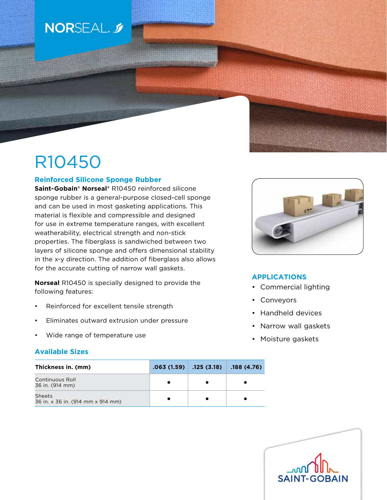# NORSEAL. 5

# R10450

## **Reinforced Silicone Sponge Rubber**

**Saint-Gobain® Norseal®** R10450 reinforced silicone sponge rubber is a general-purpose closed-cell sponge and can be used in most gasketing applications. This material is flexible and compressible and designed for use in extreme temperature ranges, with excellent weatherability, electrical strength and non-stick properties. The fiberglass is sandwiched between two layers of silicone sponge and offers dimensional stability in the x-y direction. The addition of fiberglass also allows for the accurate cutting of narrow wall gaskets.

**Norseal** R10450 is specially designed to provide the following features:

- Reinforced for excellent tensile strength
- Eliminates outward extrusion under pressure
- Wide range of temperature use

### **Available Sizes**

| Thickness in. (mm)                                 | $.063(1.59)$ .125 (3.18) | .188 (4.76) |
|----------------------------------------------------|--------------------------|-------------|
| <b>Continuous Roll</b><br>36 in. (914 mm)          |                          |             |
| <b>Sheets</b><br>36 in. x 36 in. (914 mm x 914 mm) |                          |             |



# **APPLICATIONS**

- Commercial lighting
- Conveyors
- Handheld devices
- Narrow wall gaskets
- Moisture gaskets